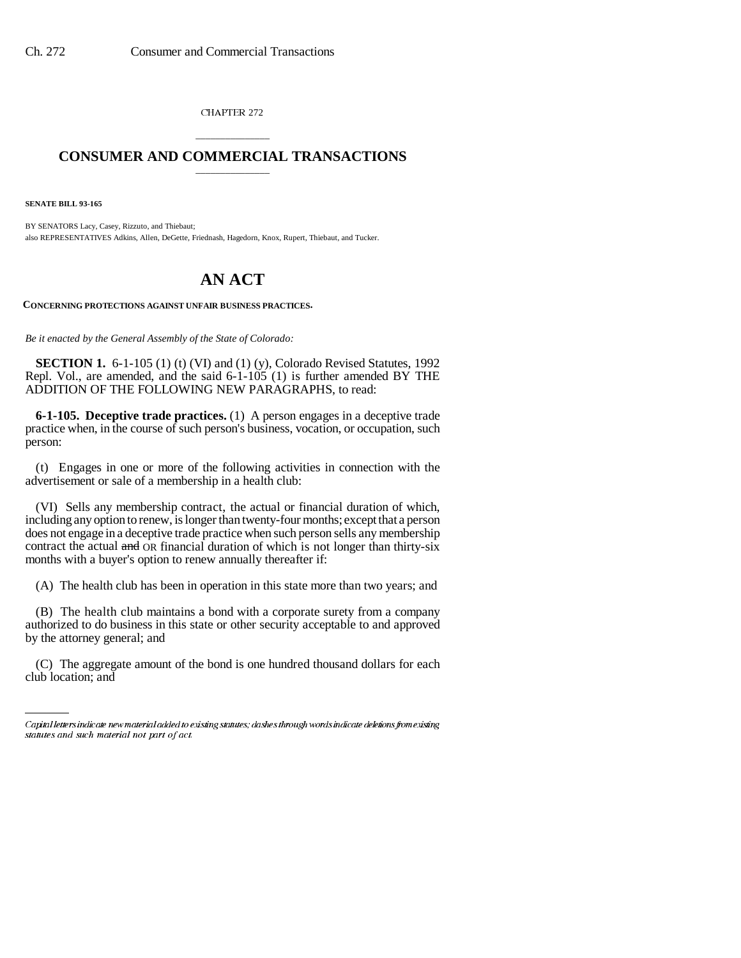CHAPTER 272

## \_\_\_\_\_\_\_\_\_\_\_\_\_\_\_ **CONSUMER AND COMMERCIAL TRANSACTIONS** \_\_\_\_\_\_\_\_\_\_\_\_\_\_\_

**SENATE BILL 93-165**

BY SENATORS Lacy, Casey, Rizzuto, and Thiebaut; also REPRESENTATIVES Adkins, Allen, DeGette, Friednash, Hagedorn, Knox, Rupert, Thiebaut, and Tucker.

## **AN ACT**

**CONCERNING PROTECTIONS AGAINST UNFAIR BUSINESS PRACTICES.**

*Be it enacted by the General Assembly of the State of Colorado:*

**SECTION 1.** 6-1-105 (1) (t) (VI) and (1) (y), Colorado Revised Statutes, 1992 Repl. Vol., are amended, and the said 6-1-105 (1) is further amended BY THE ADDITION OF THE FOLLOWING NEW PARAGRAPHS, to read:

**6-1-105. Deceptive trade practices.** (1) A person engages in a deceptive trade practice when, in the course of such person's business, vocation, or occupation, such person:

(t) Engages in one or more of the following activities in connection with the advertisement or sale of a membership in a health club:

(VI) Sells any membership contract, the actual or financial duration of which, including any option to renew, is longer than twenty-four months; except that a person does not engage in a deceptive trade practice when such person sells any membership contract the actual and OR financial duration of which is not longer than thirty-six months with a buyer's option to renew annually thereafter if:

(A) The health club has been in operation in this state more than two years; and

(B) The health club maintains a bond with a corporate surety from a company authorized to do business in this state or other security acceptable to and approved by the attorney general; and

club location; and(C) The aggregate amount of the bond is one hundred thousand dollars for each

Capital letters indicate new material added to existing statutes; dashes through words indicate deletions from existing statutes and such material not part of act.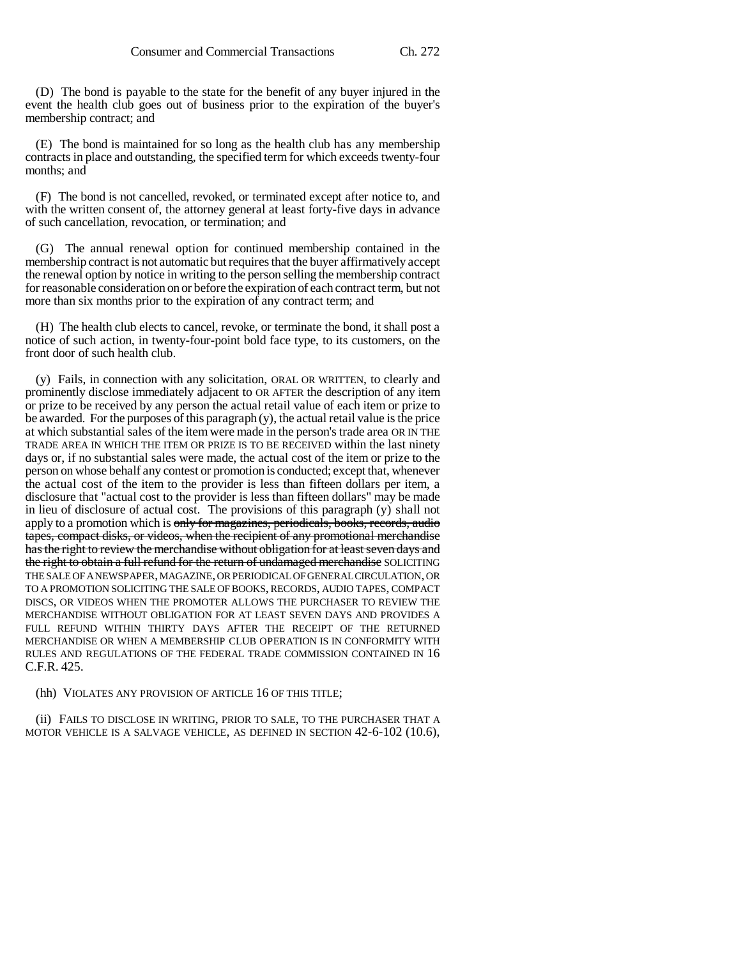(D) The bond is payable to the state for the benefit of any buyer injured in the event the health club goes out of business prior to the expiration of the buyer's membership contract; and

(E) The bond is maintained for so long as the health club has any membership contracts in place and outstanding, the specified term for which exceeds twenty-four months; and

(F) The bond is not cancelled, revoked, or terminated except after notice to, and with the written consent of, the attorney general at least forty-five days in advance of such cancellation, revocation, or termination; and

(G) The annual renewal option for continued membership contained in the membership contract is not automatic but requires that the buyer affirmatively accept the renewal option by notice in writing to the person selling the membership contract for reasonable consideration on or before the expiration of each contract term, but not more than six months prior to the expiration of any contract term; and

(H) The health club elects to cancel, revoke, or terminate the bond, it shall post a notice of such action, in twenty-four-point bold face type, to its customers, on the front door of such health club.

(y) Fails, in connection with any solicitation, ORAL OR WRITTEN, to clearly and prominently disclose immediately adjacent to OR AFTER the description of any item or prize to be received by any person the actual retail value of each item or prize to be awarded. For the purposes of this paragraph (y), the actual retail value is the price at which substantial sales of the item were made in the person's trade area OR IN THE TRADE AREA IN WHICH THE ITEM OR PRIZE IS TO BE RECEIVED within the last ninety days or, if no substantial sales were made, the actual cost of the item or prize to the person on whose behalf any contest or promotion is conducted; except that, whenever the actual cost of the item to the provider is less than fifteen dollars per item, a disclosure that "actual cost to the provider is less than fifteen dollars" may be made in lieu of disclosure of actual cost. The provisions of this paragraph (y) shall not apply to a promotion which is only for magazines, periodicals, books, records, audio tapes, compact disks, or videos, when the recipient of any promotional merchandise has the right to review the merchandise without obligation for at least seven days and the right to obtain a full refund for the return of undamaged merchandise SOLICITING THE SALE OF A NEWSPAPER, MAGAZINE, OR PERIODICAL OF GENERAL CIRCULATION, OR TO A PROMOTION SOLICITING THE SALE OF BOOKS, RECORDS, AUDIO TAPES, COMPACT DISCS, OR VIDEOS WHEN THE PROMOTER ALLOWS THE PURCHASER TO REVIEW THE MERCHANDISE WITHOUT OBLIGATION FOR AT LEAST SEVEN DAYS AND PROVIDES A FULL REFUND WITHIN THIRTY DAYS AFTER THE RECEIPT OF THE RETURNED MERCHANDISE OR WHEN A MEMBERSHIP CLUB OPERATION IS IN CONFORMITY WITH RULES AND REGULATIONS OF THE FEDERAL TRADE COMMISSION CONTAINED IN 16 C.F.R. 425.

(hh) VIOLATES ANY PROVISION OF ARTICLE 16 OF THIS TITLE;

(ii) FAILS TO DISCLOSE IN WRITING, PRIOR TO SALE, TO THE PURCHASER THAT A MOTOR VEHICLE IS A SALVAGE VEHICLE, AS DEFINED IN SECTION 42-6-102 (10.6),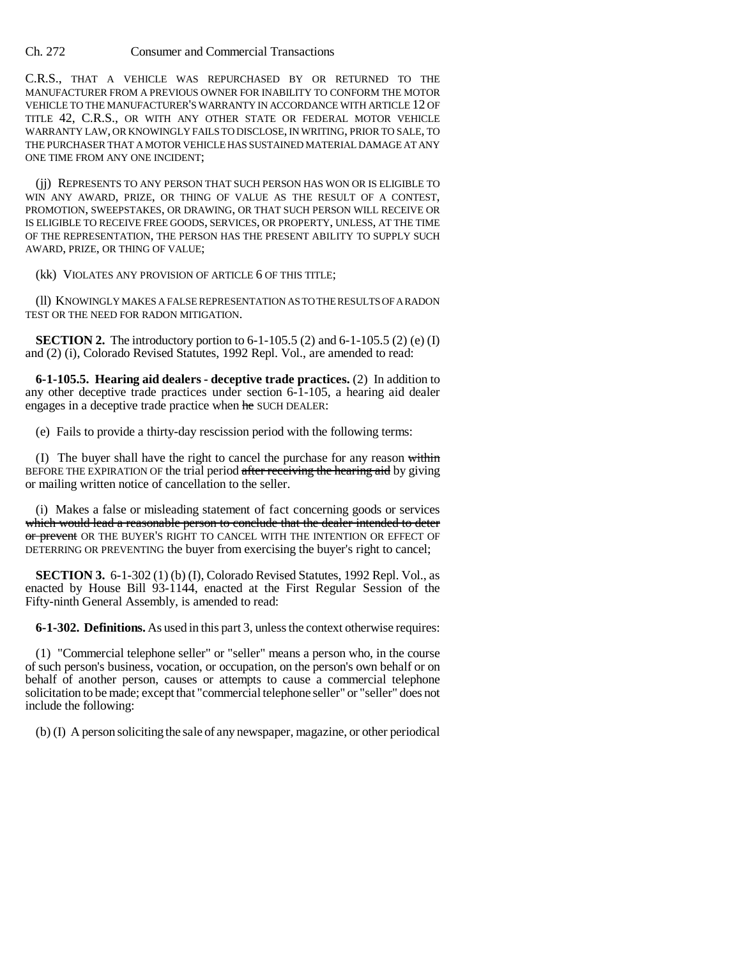Ch. 272 Consumer and Commercial Transactions

C.R.S., THAT A VEHICLE WAS REPURCHASED BY OR RETURNED TO THE MANUFACTURER FROM A PREVIOUS OWNER FOR INABILITY TO CONFORM THE MOTOR VEHICLE TO THE MANUFACTURER'S WARRANTY IN ACCORDANCE WITH ARTICLE 12 OF TITLE 42, C.R.S., OR WITH ANY OTHER STATE OR FEDERAL MOTOR VEHICLE WARRANTY LAW, OR KNOWINGLY FAILS TO DISCLOSE, IN WRITING, PRIOR TO SALE, TO THE PURCHASER THAT A MOTOR VEHICLE HAS SUSTAINED MATERIAL DAMAGE AT ANY ONE TIME FROM ANY ONE INCIDENT;

(jj) REPRESENTS TO ANY PERSON THAT SUCH PERSON HAS WON OR IS ELIGIBLE TO WIN ANY AWARD, PRIZE, OR THING OF VALUE AS THE RESULT OF A CONTEST, PROMOTION, SWEEPSTAKES, OR DRAWING, OR THAT SUCH PERSON WILL RECEIVE OR IS ELIGIBLE TO RECEIVE FREE GOODS, SERVICES, OR PROPERTY, UNLESS, AT THE TIME OF THE REPRESENTATION, THE PERSON HAS THE PRESENT ABILITY TO SUPPLY SUCH AWARD, PRIZE, OR THING OF VALUE;

(kk) VIOLATES ANY PROVISION OF ARTICLE 6 OF THIS TITLE;

(ll) KNOWINGLY MAKES A FALSE REPRESENTATION AS TO THE RESULTS OF A RADON TEST OR THE NEED FOR RADON MITIGATION.

**SECTION 2.** The introductory portion to  $6-1-105.5$  (2) and  $6-1-105.5$  (2) (e) (I) and (2) (i), Colorado Revised Statutes, 1992 Repl. Vol., are amended to read:

**6-1-105.5. Hearing aid dealers - deceptive trade practices.** (2) In addition to any other deceptive trade practices under section 6-1-105, a hearing aid dealer engages in a deceptive trade practice when he SUCH DEALER:

(e) Fails to provide a thirty-day rescission period with the following terms:

(I) The buyer shall have the right to cancel the purchase for any reason within BEFORE THE EXPIRATION OF the trial period after receiving the hearing aid by giving or mailing written notice of cancellation to the seller.

(i) Makes a false or misleading statement of fact concerning goods or services which would lead a reasonable person to conclude that the dealer intended to deter or prevent OR THE BUYER'S RIGHT TO CANCEL WITH THE INTENTION OR EFFECT OF DETERRING OR PREVENTING the buyer from exercising the buyer's right to cancel;

**SECTION 3.** 6-1-302 (1) (b) (I), Colorado Revised Statutes, 1992 Repl. Vol., as enacted by House Bill 93-1144, enacted at the First Regular Session of the Fifty-ninth General Assembly, is amended to read:

**6-1-302. Definitions.** As used in this part 3, unless the context otherwise requires:

(1) "Commercial telephone seller" or "seller" means a person who, in the course of such person's business, vocation, or occupation, on the person's own behalf or on behalf of another person, causes or attempts to cause a commercial telephone solicitation to be made; except that "commercial telephone seller" or "seller" does not include the following:

(b) (I) A person soliciting the sale of any newspaper, magazine, or other periodical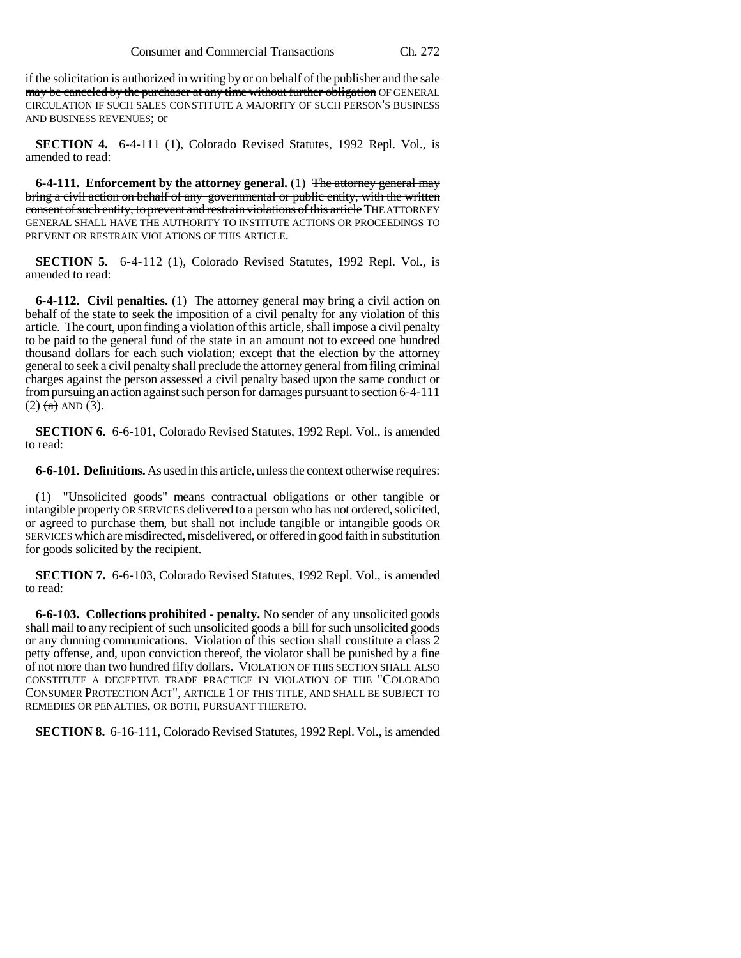if the solicitation is authorized in writing by or on behalf of the publisher and the sale may be canceled by the purchaser at any time without further obligation OF GENERAL CIRCULATION IF SUCH SALES CONSTITUTE A MAJORITY OF SUCH PERSON'S BUSINESS AND BUSINESS REVENUES; or

**SECTION 4.** 6-4-111 (1), Colorado Revised Statutes, 1992 Repl. Vol., is amended to read:

**6-4-111. Enforcement by the attorney general.** (1) The attorney general may bring a civil action on behalf of any governmental or public entity, with the written consent of such entity, to prevent and restrain violations of this article THE ATTORNEY GENERAL SHALL HAVE THE AUTHORITY TO INSTITUTE ACTIONS OR PROCEEDINGS TO PREVENT OR RESTRAIN VIOLATIONS OF THIS ARTICLE.

**SECTION 5.** 6-4-112 (1), Colorado Revised Statutes, 1992 Repl. Vol., is amended to read:

**6-4-112. Civil penalties.** (1) The attorney general may bring a civil action on behalf of the state to seek the imposition of a civil penalty for any violation of this article. The court, upon finding a violation of this article, shall impose a civil penalty to be paid to the general fund of the state in an amount not to exceed one hundred thousand dollars for each such violation; except that the election by the attorney general to seek a civil penalty shall preclude the attorney general from filing criminal charges against the person assessed a civil penalty based upon the same conduct or from pursuing an action against such person for damages pursuant to section 6-4-111  $(2)$   $(a)$  AND  $(3)$ .

**SECTION 6.** 6-6-101, Colorado Revised Statutes, 1992 Repl. Vol., is amended to read:

**6-6-101. Definitions.** As used in this article, unless the context otherwise requires:

(1) "Unsolicited goods" means contractual obligations or other tangible or intangible property OR SERVICES delivered to a person who has not ordered, solicited, or agreed to purchase them, but shall not include tangible or intangible goods OR SERVICES which are misdirected, misdelivered, or offered in good faith in substitution for goods solicited by the recipient.

**SECTION 7.** 6-6-103, Colorado Revised Statutes, 1992 Repl. Vol., is amended to read:

**6-6-103. Collections prohibited - penalty.** No sender of any unsolicited goods shall mail to any recipient of such unsolicited goods a bill for such unsolicited goods or any dunning communications. Violation of this section shall constitute a class 2 petty offense, and, upon conviction thereof, the violator shall be punished by a fine of not more than two hundred fifty dollars. VIOLATION OF THIS SECTION SHALL ALSO CONSTITUTE A DECEPTIVE TRADE PRACTICE IN VIOLATION OF THE "COLORADO CONSUMER PROTECTION ACT", ARTICLE 1 OF THIS TITLE, AND SHALL BE SUBJECT TO REMEDIES OR PENALTIES, OR BOTH, PURSUANT THERETO.

**SECTION 8.** 6-16-111, Colorado Revised Statutes, 1992 Repl. Vol., is amended